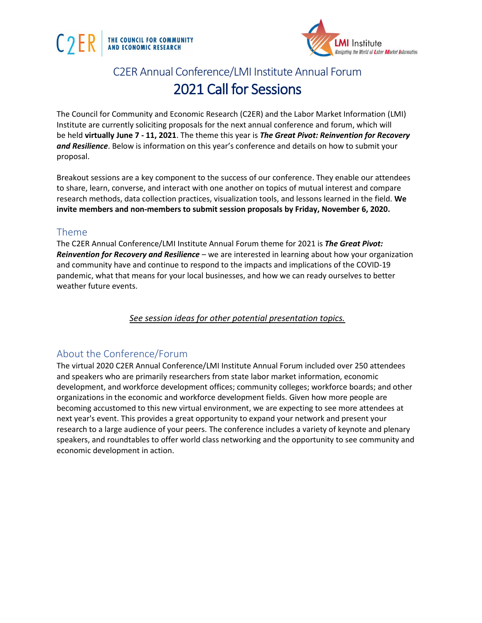



# C2ER Annual Conference/LMI Institute Annual Forum 2021 Call for Sessions

The Council for Community and Economic Research (C2ER) and the Labor Market Information (LMI) Institute are currently soliciting proposals for the next annual conference and forum, which will be held **virtually June 7 - 11, 2021**. The theme this year is *The Great Pivot: Reinvention for Recovery and Resilience*. Below is information on this year's conference and details on how to submit your proposal.

Breakout sessions are a key component to the success of our conference. They enable our attendees to share, learn, converse, and interact with one another on topics of mutual interest and compare research methods, data collection practices, visualization tools, and lessons learned in the field. **We invite members and non-members to submit session proposals by Friday, November 6, 2020.**

#### Theme

The C2ER Annual Conference/LMI Institute Annual Forum theme for 2021 is *The Great Pivot: Reinvention for Recovery and Resilience* – we are interested in learning about how your organization and community have and continue to respond to the impacts and implications of the COVID-19 pandemic, what that means for your local businesses, and how we can ready ourselves to better weather future events.

*See session ideas for other potential presentation topics.*

## About the Conference/Forum

The virtual 2020 C2ER Annual Conference/LMI Institute Annual Forum included over 250 attendees and speakers who are primarily researchers from state labor market information, economic development, and workforce development offices; community colleges; workforce boards; and other organizations in the economic and workforce development fields. Given how more people are becoming accustomed to this new virtual environment, we are expecting to see more attendees at next year's event. This provides a great opportunity to expand your network and present your research to a large audience of your peers. The conference includes a variety of keynote and plenary speakers, and roundtables to offer world class networking and the opportunity to see community and economic development in action.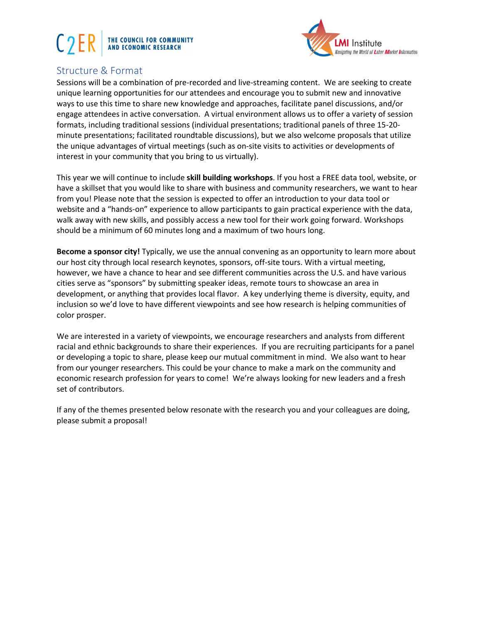# THE COUNCIL FOR COMMUNITY<br>AND ECONOMIC RESEARCH



# Structure & Format

Sessions will be a combination of pre-recorded and live-streaming content. We are seeking to create unique learning opportunities for our attendees and encourage you to submit new and innovative ways to use this time to share new knowledge and approaches, facilitate panel discussions, and/or engage attendees in active conversation. A virtual environment allows us to offer a variety of session formats, including traditional sessions (individual presentations; traditional panels of three 15-20 minute presentations; facilitated roundtable discussions), but we also welcome proposals that utilize the unique advantages of virtual meetings (such as on-site visits to activities or developments of interest in your community that you bring to us virtually).

This year we will continue to include **skill building workshops**. If you host a FREE data tool, website, or have a skillset that you would like to share with business and community researchers, we want to hear from you! Please note that the session is expected to offer an introduction to your data tool or website and a "hands-on" experience to allow participants to gain practical experience with the data, walk away with new skills, and possibly access a new tool for their work going forward. Workshops should be a minimum of 60 minutes long and a maximum of two hours long.

**Become a sponsor city!** Typically, we use the annual convening as an opportunity to learn more about our host city through local research keynotes, sponsors, off-site tours. With a virtual meeting, however, we have a chance to hear and see different communities across the U.S. and have various cities serve as "sponsors" by submitting speaker ideas, remote tours to showcase an area in development, or anything that provides local flavor. A key underlying theme is diversity, equity, and inclusion so we'd love to have different viewpoints and see how research is helping communities of color prosper.

We are interested in a variety of viewpoints, we encourage researchers and analysts from different racial and ethnic backgrounds to share their experiences. If you are recruiting participants for a panel or developing a topic to share, please keep our mutual commitment in mind. We also want to hear from our younger researchers. This could be your chance to make a mark on the community and economic research profession for years to come! We're always looking for new leaders and a fresh set of contributors.

If any of the themes presented below resonate with the research you and your colleagues are doing, please submit a proposal!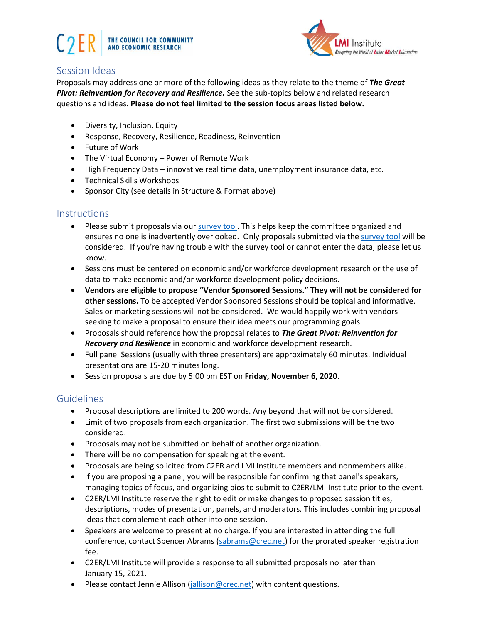



## Session Ideas

Proposals may address one or more of the following ideas as they relate to the theme of *The Great Pivot: Reinvention for Recovery and Resilience.* See the sub-topics below and related research questions and ideas. **Please do not feel limited to the session focus areas listed below.**

- Diversity, Inclusion, Equity
- Response, Recovery, Resilience, Readiness, Reinvention
- Future of Work
- The Virtual Economy Power of Remote Work
- High Frequency Data innovative real time data, unemployment insurance data, etc.
- Technical Skills Workshops
- Sponsor City (see details in Structure & Format above)

#### **Instructions**

- Please submit proposals via ou[r survey tool.](https://www.surveymonkey.com/r/2021CallforProposals) This helps keep the committee organized and ensures no one is inadvertently overlooked. Only proposals submitted via th[e survey tool](https://www.surveymonkey.com/r/2021CallforProposals) will be considered. If you're having trouble with the survey tool or cannot enter the data, please let us know.
- Sessions must be centered on economic and/or workforce development research or the use of data to make economic and/or workforce development policy decisions.
- **Vendors are eligible to propose "Vendor Sponsored Sessions." They will not be considered for other sessions.** To be accepted Vendor Sponsored Sessions should be topical and informative. Sales or marketing sessions will not be considered. We would happily work with vendors seeking to make a proposal to ensure their idea meets our programming goals.
- Proposals should reference how the proposal relates to *The Great Pivot: Reinvention for Recovery and Resilience* in economic and workforce development research.
- Full panel Sessions (usually with three presenters) are approximately 60 minutes. Individual presentations are 15-20 minutes long.
- Session proposals are due by 5:00 pm EST on **Friday, November 6, 2020**.

#### **Guidelines**

- Proposal descriptions are limited to 200 words. Any beyond that will not be considered.
- Limit of two proposals from each organization. The first two submissions will be the two considered.
- Proposals may not be submitted on behalf of another organization.
- There will be no compensation for speaking at the event.
- Proposals are being solicited from C2ER and LMI Institute members and nonmembers alike.
- If you are proposing a panel, you will be responsible for confirming that panel's speakers, managing topics of focus, and organizing bios to submit to C2ER/LMI Institute prior to the event.
- C2ER/LMI Institute reserve the right to edit or make changes to proposed session titles, descriptions, modes of presentation, panels, and moderators. This includes combining proposal ideas that complement each other into one session.
- Speakers are welcome to present at no charge. If you are interested in attending the full conference, contact Spencer Abrams [\(sabrams@crec.net\)](mailto:sabrams@crec.net) for the prorated speaker registration fee.
- C2ER/LMI Institute will provide a response to all submitted proposals no later than January 15, 2021.
- Please contact Jennie Allison [\(jallison@crec.net\)](mailto:jallison@crec.net) with content questions.